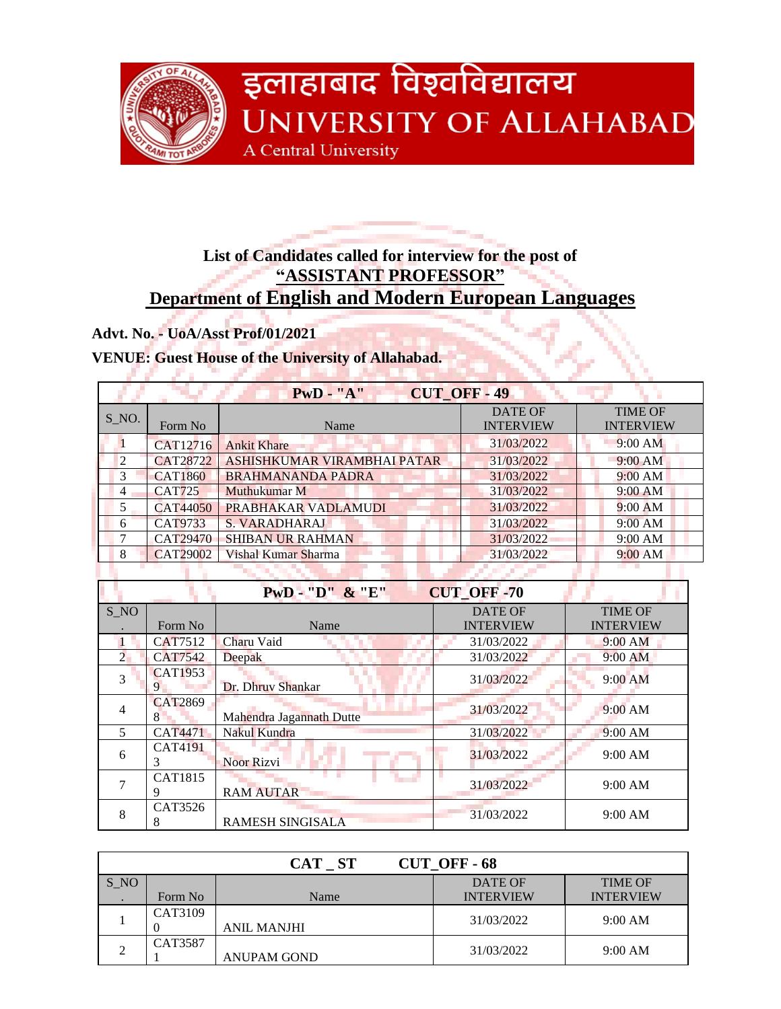

# **List of Candidates called for interview for the post of "ASSISTANT PROFESSOR" Department of English and Modern European Languages**

**Advt. No. - UoA/Asst Prof/01/2021**

11 J J

#### **VENUE: Guest House of the University of Allahabad.**

**A START AND A THE REA** 

|                |                 | $PwD - "A"$                 | <b>CUT OFF-49</b> |                  |
|----------------|-----------------|-----------------------------|-------------------|------------------|
| $S_N$ .        |                 |                             | <b>DATE OF</b>    | <b>TIME OF</b>   |
|                | Form No         | Name                        | <b>INTERVIEW</b>  | <b>INTERVIEW</b> |
| 1              | CAT12716        | <b>Ankit Khare</b>          | 31/03/2022        | 9:00 AM          |
| $\overline{2}$ | <b>CAT28722</b> | ASHISHKUMAR VIRAMBHAI PATAR | 31/03/2022        | 9:00 AM          |
| $\overline{3}$ | <b>CAT1860</b>  | <b>BRAHMANANDA PADRA</b>    | 31/03/2022        | 9:00 AM          |
| 4              | <b>CAT725</b>   | Muthukumar M                | 31/03/2022        | 9:00 AM          |
| 5              | <b>CAT44050</b> | PRABHAKAR VADLAMUDI         | 31/03/2022        | $9:00$ AM        |
| 6              | <b>CAT9733</b>  | <b>S. VARADHARAJ</b>        | 31/03/2022        | 9:00 AM          |
| 7              | CAT29470        | <b>SHIBAN UR RAHMAN</b>     | 31/03/2022        | 9:00 AM          |
| 8              | <b>CAT29002</b> | Vishal Kumar Sharma         | 31/03/2022        | 9:00 AM          |
|                |                 |                             |                   |                  |
|                |                 | $PWD - "D"$ & "E"           | <b>CUT_OFF-70</b> |                  |
| S NO           |                 |                             | <b>DATE OF</b>    | <b>TIME OF</b>   |
|                | Form No         | Name                        | <b>INTERVIEW</b>  | <b>INTERVIEW</b> |
| $\mathbf{1}$   | <b>CAT7512</b>  | Charu Vaid                  | 31/03/2022        | 9:00 AM          |
| $\overline{2}$ | <b>CAT7542</b>  | <b>Deepak</b>               | 31/03/2022        | 9:00 AM          |
| 3              | <b>CAT1953</b>  |                             | 31/03/2022        | $9:00$ AM        |
|                | 9               | Dr. Dhruv Shankar           |                   |                  |
| $\overline{4}$ | <b>CAT2869</b>  |                             | 31/03/2022        | $9:00$ AM        |
|                | 8               | Mahendra Jagannath Dutte    |                   |                  |
| 5              | <b>CAT4471</b>  | Nakul Kundra                | 31/03/2022        | 9:00 AM          |
| 6              | CAT4191<br>3    | Noor Rizvi                  | 31/03/2022        | 9:00 AM          |
| 7              | CAT1815         |                             | 31/03/2022        |                  |
|                | 9               | <b>RAM AUTAR</b>            |                   | 9:00 AM          |
|                | CAT3526         |                             |                   |                  |

| CUT OFF-68<br>CAT ST |         |                    |                  |                  |
|----------------------|---------|--------------------|------------------|------------------|
| S NO                 |         |                    | DATE OF          | <b>TIME OF</b>   |
|                      | Form No | Name               | <b>INTERVIEW</b> | <b>INTERVIEW</b> |
|                      | CAT3109 |                    | 31/03/2022       | 9:00 AM          |
|                      |         | <b>ANIL MANJHI</b> |                  |                  |
|                      | CAT3587 |                    | 31/03/2022       | 9:00 AM          |
|                      |         | ANUPAM GOND        |                  |                  |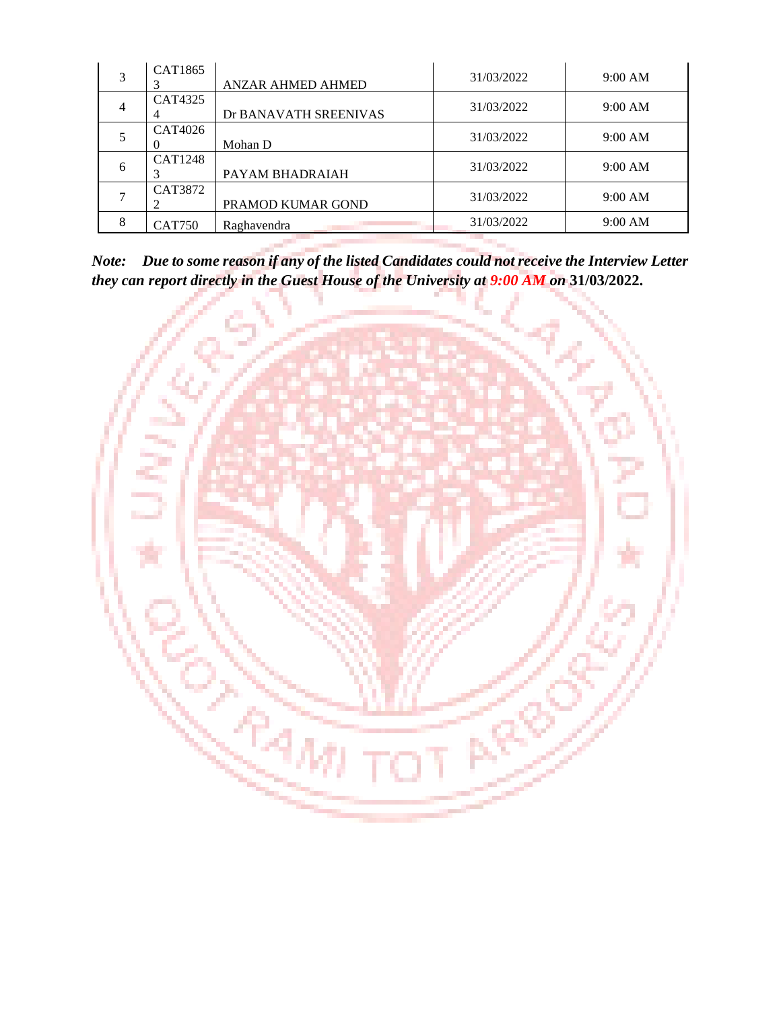| 3 | CAT1865        | <b>ANZAR AHMED AHMED</b> | 31/03/2022 | 9:00 AM |
|---|----------------|--------------------------|------------|---------|
|   | CAT4325        | Dr BANAVATH SREENIVAS    | 31/03/2022 | 9:00 AM |
|   | CAT4026        | Mohan D                  | 31/03/2022 | 9:00 AM |
| 6 | <b>CAT1248</b> | PAYAM BHADRAIAH          | 31/03/2022 | 9:00 AM |
|   | CAT3872        | PRAMOD KUMAR GOND        | 31/03/2022 | 9:00 AM |
| 8 | <b>CAT750</b>  | Raghavendra              | 31/03/2022 | 9:00 AM |

*Note: Due to some reason if any of the listed Candidates could not receive the Interview Letter they can report directly in the Guest House of the University at 9:00 AM on* **31/03/2022.**